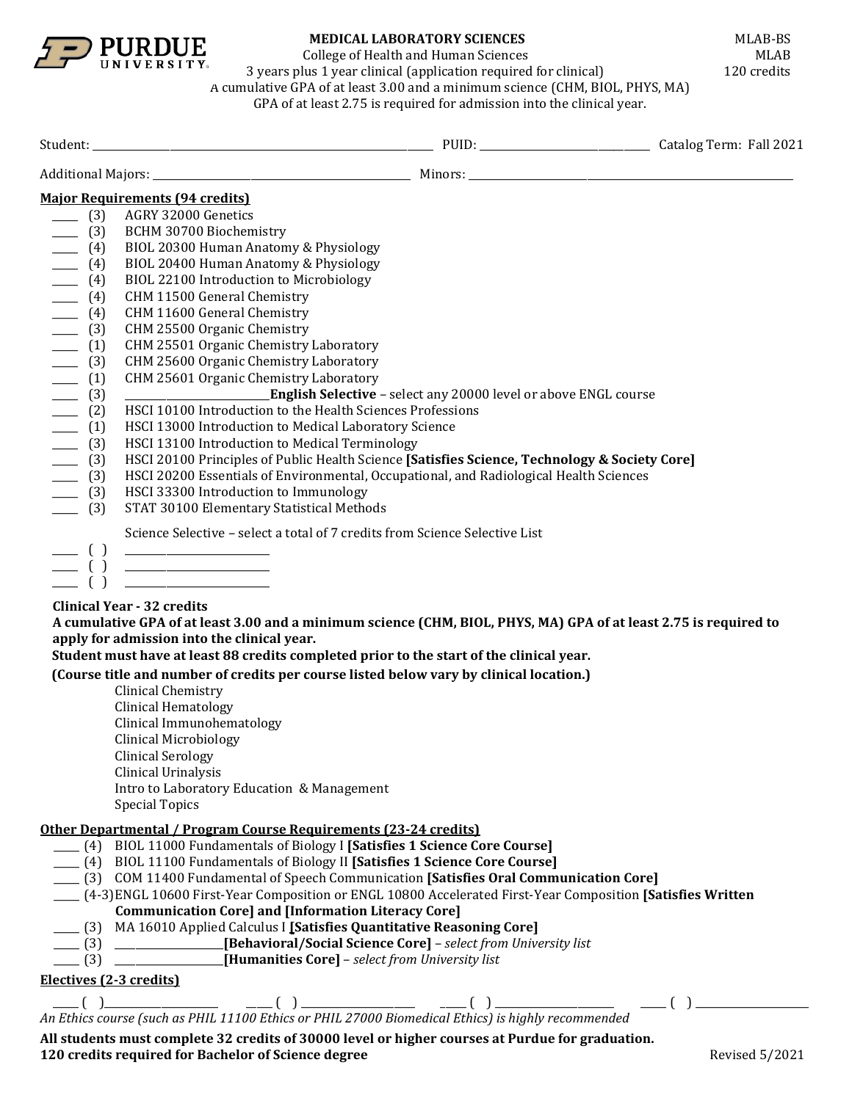

College of Health and Human Sciences<br>lus 1 year clinical (application required for clinical) 120 credits

3 years plus 1 year clinical (application required for clinical) A cumulative GPA of at least 3.00 and a minimum science (CHM, BIOL, PHYS, MA) GPA of at least 2.75 is required for admission into the clinical year.

Student: \_\_\_\_\_\_\_\_\_\_\_\_\_\_\_\_\_\_\_\_\_\_\_\_\_\_\_\_\_\_\_\_\_\_\_\_\_\_\_\_\_\_\_\_\_\_\_\_\_\_\_\_\_\_\_\_\_\_\_\_\_\_\_\_\_\_ PUID: \_\_\_\_\_\_\_\_\_\_\_\_\_\_\_\_\_\_\_\_\_\_\_\_\_\_\_\_\_\_\_\_\_ Catalog Term: Fall 2021 Additional Majors: \_\_\_\_\_\_\_\_\_\_\_\_\_\_\_\_\_\_\_\_\_\_\_\_\_\_\_\_\_\_\_\_\_\_\_\_\_\_\_\_\_\_\_\_\_\_\_\_\_\_ Minors: \_\_\_\_\_\_\_\_\_\_\_\_\_\_\_\_\_\_\_\_\_\_\_\_\_\_\_\_\_\_\_\_\_\_\_\_\_\_\_\_\_\_\_\_\_\_\_\_\_\_\_\_\_\_\_\_\_\_\_\_\_\_\_ **Major Requirements (94 credits)**  \_\_\_\_\_ (3) AGRY 32000 Genetics<br>\_\_\_\_\_ (3) BCHM 30700 Biochem \_\_\_\_\_ (3) BCHM 30700 Biochemistry \_\_\_\_\_ (4) BIOL 20300 Human Anatomy & Physiology \_\_\_\_\_ (4) BIOL 20400 Human Anatomy & Physiology<br>
\_\_\_\_\_ (4) BIOL 22100 Introduction to Microbiology<br>
\_\_\_\_\_ (4) CHM 11500 General Chemistry<br>
\_\_\_\_\_ (4) CHM 11600 General Chemistry BIOL 22100 Introduction to Microbiology \_\_\_\_\_ (4) CHM 11500 General Chemistry \_\_\_\_\_ (4) CHM 11600 General Chemistry<br>\_\_\_\_\_ (3) CHM 25500 Organic Chemistry \_\_\_\_\_ (3) CHM 25500 Organic Chemistry<br>
\_\_\_\_\_ (1) CHM 25501 Organic Chemistry (1) CHM 25501 Organic Chemistry Laboratory<br>(3) CHM 25600 Organic Chemistry Laboratory \_\_\_\_ (3) CHM 25600 Organic Chemistry Laboratory<br>\_\_\_\_ (1) CHM 25601 Organic Chemistry Laboratory \_\_\_\_\_ (1) CHM 25601 Organic Chemistry Laboratory **English Selective** – select any 20000 level or above ENGL course (2) HSCI 10100 Introduction to the Health Sciences Professions<br>
(1) HSCI 13000 Introduction to Medical Laboratory Science<br>
(3) HSCI 13100 Introduction to Medical Terminology \_\_\_\_\_ (1) HSCI 13000 Introduction to Medical Laboratory Science (3) HSCI 13100 Introduction to Medical Terminology<br>(3) HSCI 20100 Principles of Public Health Science [Sa \_\_\_\_\_ (3) HSCI 20100 Principles of Public Health Science **[Satisfies Science, Technology & Society Core]** \_\_\_\_\_ (3) HSCI 20200 Essentials of Environmental, Occupational, and Radiological Health Sciences \_\_\_\_\_ (3) HSCI 33300 Introduction to Immunology STAT 30100 Elementary Statistical Methods Science Selective – select a total of 7 credits from Science Selective List \_\_\_\_\_ ( ) \_\_\_\_\_\_\_\_\_\_\_\_\_\_\_\_\_\_\_\_\_\_\_\_\_\_\_\_ \_\_\_\_\_ ( ) \_\_\_\_\_\_\_\_\_\_\_\_\_\_\_\_\_\_\_\_\_\_\_\_\_\_\_\_ \_\_\_\_\_ ( ) \_\_\_\_\_\_\_\_\_\_\_\_\_\_\_\_\_\_\_\_\_\_\_\_\_\_\_\_ **Clinical Year - 32 credits A cumulative GPA of at least 3.00 and a minimum science (CHM, BIOL, PHYS, MA) GPA of at least 2.75 is required to apply for admission into the clinical year. Student must have at least 88 credits completed prior to the start of the clinical year. (Course title and number of credits per course listed below vary by clinical location.)** Clinical Chemistry Clinical Hematology Clinical Immunohematology Clinical Microbiology Clinical Serology Clinical Urinalysis Intro to Laboratory Education & Management Special Topics **Other Departmental / Program Course Requirements (23-24 credits)** \_\_\_\_\_ (4) BIOL 11000 Fundamentals of Biology I **[Satisfies 1 Science Core Course]** \_\_\_\_\_ (4) BIOL 11100 Fundamentals of Biology II **[Satisfies 1 Science Core Course]** \_\_\_\_\_ (3) COM 11400 Fundamental of Speech Communication **[Satisfies Oral Communication Core]** \_\_\_\_\_ (4-3)ENGL 10600 First-Year Composition or ENGL 10800 Accelerated First-Year Composition **[Satisfies Written Communication Core] and [Information Literacy Core]** \_\_\_\_\_ (3) MA 16010 Applied Calculus I **[Satisfies Quantitative Reasoning Core]** \_\_\_\_\_ (3) \_\_\_\_\_\_\_\_\_\_\_\_\_\_\_\_\_\_\_\_\_**[Behavioral/Social Science Core]** – *select from University list* \_\_\_\_\_ (3) \_\_\_\_\_\_\_\_\_\_\_\_\_\_\_\_\_\_\_\_\_**[Humanities Core]** – *select from University list* **Electives (2-3 credits)** \_\_\_\_\_ ( )\_\_\_\_\_\_\_\_\_\_\_\_\_\_\_\_\_\_\_\_\_\_ \_\_\_\_\_ ( ) \_\_\_\_\_\_\_\_\_\_\_\_\_\_\_\_\_\_\_\_\_\_ \_\_\_\_\_ ( ) \_\_\_\_\_\_\_\_\_\_\_\_\_\_\_\_\_\_\_\_\_\_\_ \_\_\_\_\_ ( ) \_\_\_\_\_\_\_\_\_\_\_\_\_\_\_\_\_\_\_\_\_\_ *An Ethics course (such as PHIL 11100 Ethics or PHIL 27000 Biomedical Ethics) is highly recommended*

**All students must complete 32 credits of 30000 level or higher courses at Purdue for graduation. 120 credits required for Bachelor of Science degree and the set of the Science of Science degree** Revised 5/2021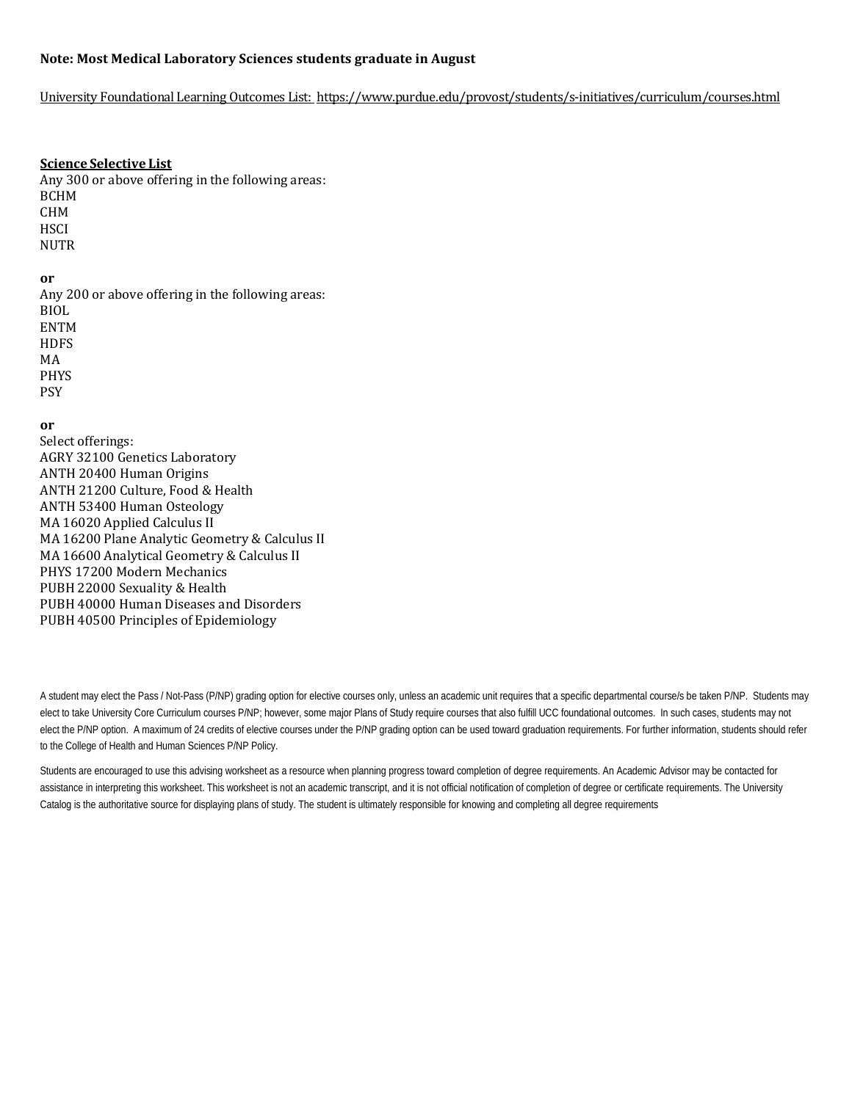## **Note: Most Medical Laboratory Sciences students graduate in August**

### University Foundational Learning Outcomes List:<https://www.purdue.edu/provost/students/s-initiatives/curriculum/courses.html>

### **Science Selective List**

Any 300 or above offering in the following areas: BCHM CHM **HSCI** NUTR

# **or**

Any 200 or above offering in the following areas: BIOL ENTM **HDFS** MA PHYS PSY

## **or**

Select offerings: AGRY 32100 Genetics Laboratory ANTH 20400 Human Origins ANTH 21200 Culture, Food & Health ANTH 53400 Human Osteology MA 16020 Applied Calculus II MA 16200 Plane Analytic Geometry & Calculus II MA 16600 Analytical Geometry & Calculus II PHYS 17200 Modern Mechanics PUBH 22000 Sexuality & Health PUBH 40000 Human Diseases and Disorders PUBH 40500 Principles of Epidemiology

A student may elect the Pass / Not-Pass (P/NP) grading option for elective courses only, unless an academic unit requires that a specific departmental course/s be taken P/NP. Students may elect to take University Core Curriculum courses P/NP; however, some major Plans of Study require courses that also fulfill UCC foundational outcomes. In such cases, students may not elect the P/NP option. A maximum of 24 credits of elective courses under the P/NP grading option can be used toward graduation requirements. For further information, students should refer to the College of Health and Human Sciences P/NP Policy.

Students are encouraged to use this advising worksheet as a resource when planning progress toward completion of degree requirements. An Academic Advisor may be contacted for assistance in interpreting this worksheet. This worksheet is not an academic transcript, and it is not official notification of completion of degree or certificate requirements. The University Catalog is the authoritative source for displaying plans of study. The student is ultimately responsible for knowing and completing all degree requirements